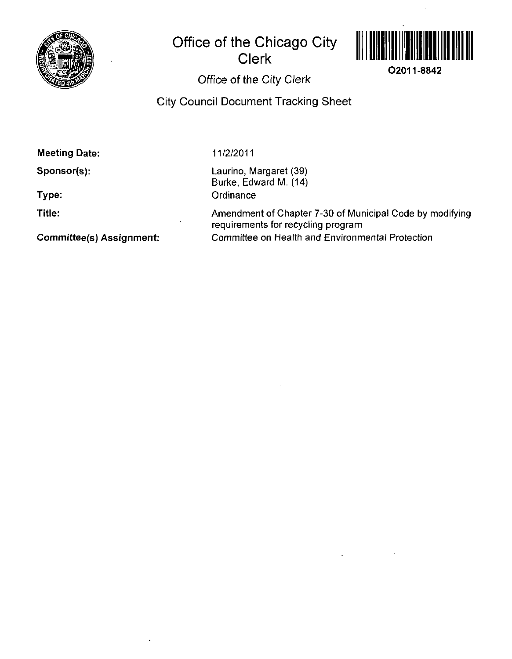

# **Office of the Chicago City Clerk**



**02011-8842** 

## **Office of the City Clerk**

**City Council Document Tracking Sheet** 

**Meeting Date:** 

**Sponsor(s):** 

**Type:** 

**Title:** 

**Committee(s) Assignment:** 

**11/2/2011** 

Laurino, Margaret (39) Burke, Edward M. (14) **Ordinance** 

Amendment of Chapter 7-30 of Municipal Code by modifying requirements for recycling program Committee on Health and Environmental Protection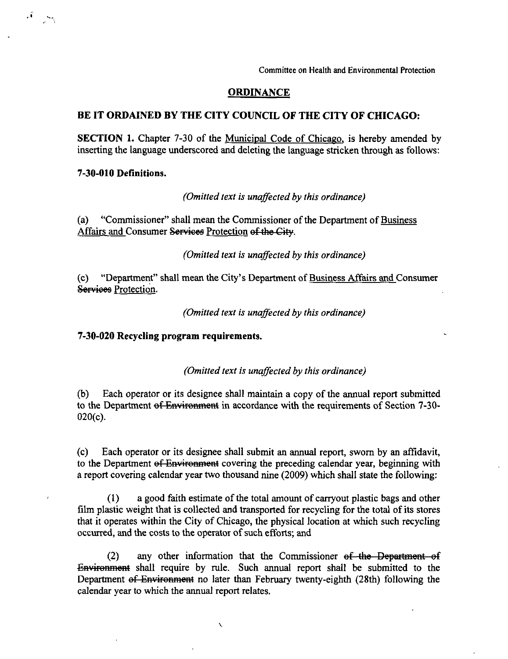**Committee on Health and Environmental Protection** 

### **ORDINANCE**

### **BE IT ORDAINED BY THE CITY COUNCIL OF THE CITY OF CHICAGO:**

SECTION 1. Chapter 7-30 of the Municipal Code of Chicago, is hereby amended by inserting the language underscored and deleting the language stricken through as follows:

### **7-30-010 Definitions.**

 $\label{eq:reduced} \mathcal{A} = \mathcal{A}$ 

*(Omitted text is unaffected by this ordinance)* 

(a) "Commissioner" shall mean the Commissioner of the Department of Business Affairs and Consumer Services Protection of the City.

*(Omitted text is unaffected by this ordinance)* 

(c) "Department" shall mean the City\*s Department of Business Affairs and Consumer Services Protection.

**(Omitted text is unaffected by this ordinance)** 

#### **7-30-020 Recycling program requirements.**

*(Omitted text is unaffected by this ordinance)* 

(b) Each operator or its designee shall maintain a copy of the annual report submitted to the Department of Environment in accordance with the requirements of Section 7-30-020(c).

(c) Each operator or its designee shall submit an annual report, swom by an affidavit, to the Department of Environment covering the preceding calendar year, beginning with a report covering calendar year two thousand nine (2009) which shall state the following:

(1) a good faith estimate of the total amoimt of carryout plastic bags and other film plastic weight that is collected and transported for recycling for the total of its stores that it operates within the City of Chicago, the physical location at which such recycling occurred, and the costs to the operator of such efforts; and

(2) any other information that the Commissioner  $ef$  the Department of Environment shall require by rule. Such annual report shall be submitted to the Department of Environment no later than February twenty-eighth (28th) following the calendar year to which the armual report relates.

 $\bar{\mathcal{L}}$